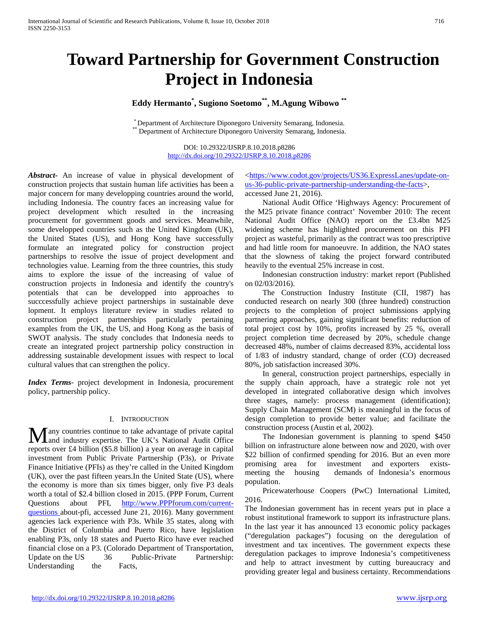# **Toward Partnership for Government Construction Project in Indonesia**

# **Eddy Hermanto\* , Sugiono Soetomo\*\*, M.Agung Wibowo \*\***

\* Department of Architecture Diponegoro University Semarang, Indonesia.<br>\*\* Department of Architecture Diponegoro University Semarang, Indonesia.

DOI: 10.29322/IJSRP.8.10.2018.p8286 <http://dx.doi.org/10.29322/IJSRP.8.10.2018.p8286>

*Abstract***-** An increase of value in physical development of construction projects that sustain human life activities has been a major concern for many developping countries around the world, including Indonesia. The country faces an increasing value for project development which resulted in the increasing procurement for government goods and services. Meanwhile, some developped countries such as the United Kingdom (UK), the United States (US), and Hong Kong have successfully formulate an integrated policy for construction project partnerships to resolve the issue of project development and technologies value. Learning from the three countries, this study aims to explore the issue of the increasing of value of construction projects in Indonesia and identify the country's potentials that can be developped into approaches to succcessfully achieve project partnerships in sustainable deve lopment. It employs literature review in studies related to construction project partnerships particularly pertaining examples from the UK, the US, and Hong Kong as the basis of SWOT analysis. The study concludes that Indonesia needs to create an integrated project partnership policy construction in addressing sustainable development issues with respect to local cultural values that can strengthen the policy.

*Index Terms*- project development in Indonesia, procurement policy, partnership policy.

#### I. INTRODUCTION

any countries continue to take advantage of private capital Many countries continue to take advantage of private capital<br>and industry expertise. The UK's National Audit Office reports over £4 billion (\$5.8 billion) a year on average in capital investment from Public Private Partnership (P3s), or Private Finance Initiative (PFIs) as they're called in the United Kingdom (UK), over the past fifteen years.In the United State (US), where the economy is more than six times bigger, only five P3 deals worth a total of \$2.4 billion closed in 2015. (PPP Forum, Current Questions about PFI, [http://www.PPPforum.com/current](http://www.pppforum.com/current-questions)[questions a](http://www.pppforum.com/current-questions)bout-pfi, accessed June 21, 2016). Many government agencies lack experience with P3s. While 35 states, along with the District of Columbia and Puerto Rico, have legislation enabling P3s, only 18 states and Puerto Rico have ever reached financial close on a P3. (Colorado Department of Transportation, Update on the US 36 Public-Private Partnership: Understanding the Facts,

[<https://www.codot.gov/projects/US36.ExpressLanes/update-on](https://www.codot.gov/projects/US36.ExpressLanes/update-on-us-36-public-private-partnership-understanding-the-facts)[us-36-public-private-partnership-understanding-the-facts>](https://www.codot.gov/projects/US36.ExpressLanes/update-on-us-36-public-private-partnership-understanding-the-facts), accessed June 21, 2016).

 National Audit Office 'Highways Agency: Procurement of the M25 private finance contract' November 2010: The recent National Audit Office (NAO) report on the £3.4bn M25 widening scheme has highlighted procurement on this PFI project as wasteful, primarily as the contract was too prescriptive and had little room for manoeuvre. In addition, the NAO states that the slowness of taking the project forward contributed heavily to the eventual 25% increase in cost.

 Indonesian construction industry: market report (Published on 02/03/2016).

 The Construction Industry Institute (CII, 1987) has conducted research on nearly 300 (three hundred) construction projects to the completion of project submissions applying partnering approaches, gaining significant benefits: reduction of total project cost by 10%, profits increased by 25 %, overall project completion time decreased by 20%, schedule change decreased 48%, number of claims decreased 83%, accidental loss of 1/83 of industry standard, change of order (CO) decreased 80%, job satisfaction increased 30%.

 In general, construction project partnerships, especially in the supply chain approach, have a strategic role not yet developed in integrated collaborative design which involves three stages, namely: process management (identification); Supply Chain Management (SCM) is meaningful in the focus of design completion to provide better value; and facilitate the construction process (Austin et al, 2002).

 The Indonesian government is planning to spend \$450 billion on infrastructure alone between now and 2020, with over \$22 billion of confirmed spending for 2016. But an even more promising area for investment and exporters existsmeeting the housing demands of Indonesia's enormous population.

 Pricewaterhouse Coopers (PwC) International Limited, 2016.

The Indonesian government has in recent years put in place a robust institutional framework to support its infrastructure plans. In the last year it has announced 13 economic policy packages ("deregulation packages") focusing on the deregulation of investment and tax incentives. The government expects these deregulation packages to improve Indonesia's competitiveness and help to attract investment by cutting bureaucracy and providing greater legal and business certainty. Recommendations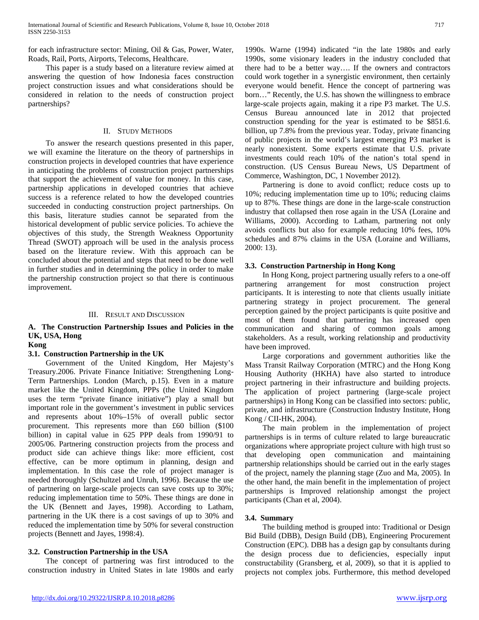for each infrastructure sector: Mining, Oil & Gas, Power, Water, Roads, Rail, Ports, Airports, Telecoms, Healthcare.

 This paper is a study based on a literature review aimed at answering the question of how Indonesia faces construction project construction issues and what considerations should be considered in relation to the needs of construction project partnerships?

#### II. STUDY METHODS

 To answer the research questions presented in this paper, we will examine the literature on the theory of partnerships in construction projects in developed countries that have experience in anticipating the problems of construction project partnerships that support the achievement of value for money. In this case, partnership applications in developed countries that achieve success is a reference related to how the developed countries succeeded in conducting construction project partnerships. On this basis, literature studies cannot be separated from the historical development of public service policies. To achieve the objectives of this study, the Strength Weakness Opportunity Thread (SWOT) approach will be used in the analysis process based on the literature review. With this approach can be concluded about the potential and steps that need to be done well in further studies and in determining the policy in order to make the partnership construction project so that there is continuous improvement.

#### III. RESULT AND DISCUSSION

# **A. The Construction Partnership Issues and Policies in the UK, USA, Hong**

#### **Kong**

# **3.1. Construction Partnership in the UK**

 Government of the United Kingdom, Her Majesty's Treasury.2006. Private Finance Initiative: Strengthening Long-Term Partnerships. London (March, p.15). Even in a mature market like the United Kingdom, PPPs (the United Kingdom uses the term "private finance initiative") play a small but important role in the government's investment in public services and represents about 10%–15% of overall public sector procurement. This represents more than £60 billion (\$100 billion) in capital value in 625 PPP deals from 1990/91 to 2005/06. Partnering construction projects from the process and product side can achieve things like: more efficient, cost effective, can be more optimum in planning, design and implementation. In this case the role of project manager is needed thoroughly (Schultzel and Unruh, 1996). Because the use of partnering on large-scale projects can save costs up to 30%; reducing implementation time to 50%. These things are done in the UK (Bennett and Jayes, 1998). According to Latham, partnering in the UK there is a cost savings of up to 30% and reduced the implementation time by 50% for several construction projects (Bennett and Jayes, 1998:4).

# **3.2. Construction Partnership in the USA**

 The concept of partnering was first introduced to the construction industry in United States in late 1980s and early

1990s. Warne (1994) indicated "in the late 1980s and early 1990s, some visionary leaders in the industry concluded that there had to be a better way…. If the owners and contractors could work together in a synergistic environment, then certainly everyone would benefit. Hence the concept of partnering was born…" Recently, the U.S. has shown the willingness to embrace large-scale projects again, making it a ripe P3 market. The U.S. Census Bureau announced late in 2012 that projected construction spending for the year is estimated to be \$851.6. billion, up 7.8% from the previous year. Today, private financing of public projects in the world's largest emerging P3 market is nearly nonexistent. Some experts estimate that U.S. private investments could reach 10% of the nation's total spend in construction. (US Census Bureau News, US Department of Commerce, Washington, DC, 1 November 2012).

 Partnering is done to avoid conflict; reduce costs up to 10%; reducing implementation time up to 10%; reducing claims up to 87%. These things are done in the large-scale construction industry that collapsed then rose again in the USA (Loraine and Williams, 2000). According to Latham, partnering not only avoids conflicts but also for example reducing 10% fees, 10% schedules and 87% claims in the USA (Loraine and Williams, 2000: 13).

# **3.3. Construction Partnership in Hong Kong**

 In Hong Kong, project partnering usually refers to a one-off partnering arrangement for most construction project participants. It is interesting to note that clients usually initiate partnering strategy in project procurement. The general perception gained by the project participants is quite positive and most of them found that partnering has increased open communication and sharing of common goals among stakeholders. As a result, working relationship and productivity have been improved.

 Large corporations and government authorities like the Mass Transit Railway Corporation (MTRC) and the Hong Kong Housing Authority (HKHA) have also started to introduce project partnering in their infrastructure and building projects. The application of project partnering (large-scale project partnerships) in Hong Kong can be classified into sectors: public, private, and infrastructure (Construction Industry Institute, Hong Kong / CII-HK, 2004).

 The main problem in the implementation of project partnerships is in terms of culture related to large bureaucratic organizations where appropriate project culture with high trust so that developing open communication and maintaining partnership relationships should be carried out in the early stages of the project, namely the planning stage (Zuo and Ma, 2005). In the other hand, the main benefit in the implementation of project partnerships is Improved relationship amongst the project participants (Chan et al, 2004).

# **3.4. Summary**

 The building method is grouped into: Traditional or Design Bid Build (DBB), Design Build (DB), Engineering Procurement Construction (EPC). DBB has a design gap by consultants during the design process due to deficiencies, especially input constructability (Gransberg, et al, 2009), so that it is applied to projects not complex jobs. Furthermore, this method developed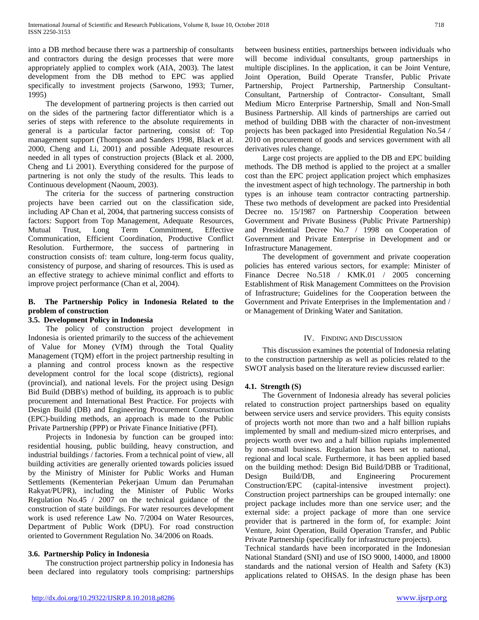into a DB method because there was a partnership of consultants and contractors during the design processes that were more appropriately applied to complex work (AIA, 2003). The latest development from the DB method to EPC was applied specifically to investment projects (Sarwono, 1993; Turner, 1995)

 The development of partnering projects is then carried out on the sides of the partnering factor differentiator which is a series of steps with reference to the absolute requirements in general is a particular factor partnering, consist of: Top management support (Thompson and Sanders 1998, Black et al. 2000, Cheng and Li, 2001) and possible Adequate resources needed in all types of construction projects (Black et al. 2000, Cheng and Li 2001). Everything considered for the purpose of partnering is not only the study of the results. This leads to Continuous development (Naoum, 2003).

 The criteria for the success of partnering construction projects have been carried out on the classification side, including AP Chan et al, 2004, that partnering success consists of factors: Support from Top Management, Adequate Resources, Mutual Trust, Long Term Commitment, Effective Communication, Efficient Coordination, Productive Conflict Resolution. Furthermore, the success of partnering in construction consists of: team culture, long-term focus quality, consistency of purpose, and sharing of resources. This is used as an effective strategy to achieve minimal conflict and efforts to improve project performance (Chan et al, 2004).

# **B. The Partnership Policy in Indonesia Related to the problem of construction**

# **3.5. Development Policy in Indonesia**

 The policy of construction project development in Indonesia is oriented primarily to the success of the achievement of Value for Money (VfM) through the Total Quality Management (TQM) effort in the project partnership resulting in a planning and control process known as the respective development control for the local scope (districts), regional (provincial), and national levels. For the project using Design Bid Build (DBB's) method of building, its approach is to public procurement and International Best Practice. For projects with Design Build (DB) and Engineering Procurement Construction (EPC)-building methods, an approach is made to the Public Private Partnership (PPP) or Private Finance Initiative (PFI).

 Projects in Indonesia by function can be grouped into: residential housing, public building, heavy construction, and industrial buildings / factories. From a technical point of view, all building activities are generally oriented towards policies issued by the Ministry of Minister for Public Works and Human Settlements (Kementerian Pekerjaan Umum dan Perumahan Rakyat/PUPR), including the Minister of Public Works Regulation No.45 / 2007 on the technical guidance of the construction of state buildings. For water resources development work is used reference Law No. 7/2004 on Water Resources, Department of Public Work (DPU). For road construction oriented to Government Regulation No. 34/2006 on Roads.

# **3.6. Partnership Policy in Indonesia**

 The construction project partnership policy in Indonesia has been declared into regulatory tools comprising: partnerships

between business entities, partnerships between individuals who will become individual consultants, group partnerships in multiple disciplines. In the application, it can be Joint Venture, Joint Operation, Build Operate Transfer, Public Private Partnership, Project Partnership, Partnership Consultant-Consultant, Partnership of Contractor- Consultant, Small Medium Micro Enterprise Partnership, Small and Non-Small Business Partnership. All kinds of partnerships are carried out method of building DBB with the character of non-investment projects has been packaged into Presidential Regulation No.54 / 2010 on procurement of goods and services government with all derivatives rules change.

 Large cost projects are applied to the DB and EPC building methods. The DB method is applied to the project at a smaller cost than the EPC project application project which emphasizes the investment aspect of high technology. The partnership in both types is an inhouse team contractor contracting partnership. These two methods of development are packed into Presidential Decree no. 15/1987 on Partnership Cooperation between Government and Private Business (Public Private Partnership) and Presidential Decree No.7 / 1998 on Cooperation of Government and Private Enterprise in Development and or Infrastructure Management.

 The development of government and private cooperation policies has entered various sectors, for example: Minister of Finance Decree No.518 / KMK.01 / 2005 concerning Establishment of Risk Management Committees on the Provision of Infrastructure; Guidelines for the Cooperation between the Government and Private Enterprises in the Implementation and / or Management of Drinking Water and Sanitation.

# IV. FINDING AND DISCUSSION

 This discussion examines the potential of Indonesia relating to the construction partnership as well as policies related to the SWOT analysis based on the literature review discussed earlier:

# **4.1. Strength (S)**

 The Government of Indonesia already has several policies related to construction project partnerships based on equality between service users and service providers. This equity consists of projects worth not more than two and a half billion rupiahs implemented by small and medium-sized micro enterprises, and projects worth over two and a half billion rupiahs implemented by non-small business. Regulation has been set to national, regional and local scale. Furthermore, it has been applied based on the building method: Design Bid Build/DBB or Traditional, Design Build/DB, and Engineering Procurement Construction/EPC (capital-intensive investment project). Construction project partnerships can be grouped internally: one project package includes more than one service user; and the external side: a project package of more than one service provider that is partnered in the form of, for example: Joint Venture, Joint Operation, Build Operation Transfer, and Public Private Partnership (specifically for infrastructure projects).

Technical standards have been incorporated in the Indonesian National Standard (SNI) and use of ISO 9000, 14000, and 18000 standards and the national version of Health and Safety (K3) applications related to OHSAS. In the design phase has been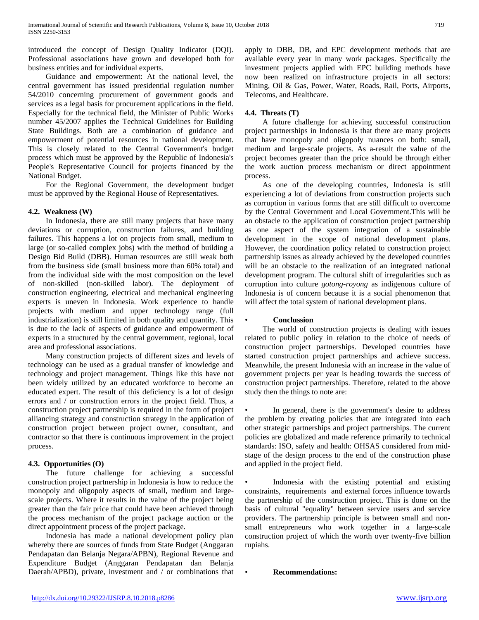introduced the concept of Design Quality Indicator (DQI). Professional associations have grown and developed both for business entities and for individual experts.

 Guidance and empowerment: At the national level, the central government has issued presidential regulation number 54/2010 concerning procurement of government goods and services as a legal basis for procurement applications in the field. Especially for the technical field, the Minister of Public Works number 45/2007 applies the Technical Guidelines for Building State Buildings. Both are a combination of guidance and empowerment of potential resources in national development. This is closely related to the Central Government's budget process which must be approved by the Republic of Indonesia's People's Representative Council for projects financed by the National Budget.

 For the Regional Government, the development budget must be approved by the Regional House of Representatives.

#### **4.2. Weakness (W)**

 In Indonesia, there are still many projects that have many deviations or corruption, construction failures, and building failures. This happens a lot on projects from small, medium to large (or so-called complex jobs) with the method of building a Design Bid Build (DBB). Human resources are still weak both from the business side (small business more than 60% total) and from the individual side with the most composition on the level of non-skilled (non-skilled labor). The deployment of construction engineering, electrical and mechanical engineering experts is uneven in Indonesia. Work experience to handle projects with medium and upper technology range (full industrialization) is still limited in both quality and quantity. This is due to the lack of aspects of guidance and empowerment of experts in a structured by the central government, regional, local area and professional associations.

 Many construction projects of different sizes and levels of technology can be used as a gradual transfer of knowledge and technology and project management. Things like this have not been widely utilized by an educated workforce to become an educated expert. The result of this deficiency is a lot of design errors and / or construction errors in the project field. Thus, a construction project partnership is required in the form of project alliancing strategy and construction strategy in the application of construction project between project owner, consultant, and contractor so that there is continuous improvement in the project process.

# **4.3. Opportunities (O)**

 The future challenge for achieving a successful construction project partnership in Indonesia is how to reduce the monopoly and oligopoly aspects of small, medium and largescale projects. Where it results in the value of the project being greater than the fair price that could have been achieved through the process mechanism of the project package auction or the direct appointment process of the project package.

 Indonesia has made a national development policy plan whereby there are sources of funds from State Budget (Anggaran Pendapatan dan Belanja Negara/APBN), Regional Revenue and Expenditure Budget (Anggaran Pendapatan dan Belanja Daerah/APBD), private, investment and / or combinations that apply to DBB, DB, and EPC development methods that are available every year in many work packages. Specifically the investment projects applied with EPC building methods have now been realized on infrastructure projects in all sectors: Mining, Oil & Gas, Power, Water, Roads, Rail, Ports, Airports, Telecoms, and Healthcare.

# **4.4. Threats (T)**

 A future challenge for achieving successful construction project partnerships in Indonesia is that there are many projects that have monopoly and oligopoly nuances on both: small, medium and large-scale projects. As a-result the value of the project becomes greater than the price should be through either the work auction process mechanism or direct appointment process.

 As one of the developing countries, Indonesia is still experiencing a lot of deviations from construction projects such as corruption in various forms that are still difficult to overcome by the Central Government and Local Government.This will be an obstacle to the application of construction project partnership as one aspect of the system integration of a sustainable development in the scope of national development plans. However, the coordination policy related to construction project partnership issues as already achieved by the developed countries will be an obstacle to the realization of an integrated national development program. The cultural shift of irregularities such as corruption into culture *gotong-royong* as indigenous culture of Indonesia is of concern because it is a social phenomenon that will affect the total system of national development plans.

#### • **Conclussion**

 The world of construction projects is dealing with issues related to public policy in relation to the choice of needs of construction project partnerships. Developed countries have started construction project partnerships and achieve success. Meanwhile, the present Indonesia with an increase in the value of government projects per year is heading towards the success of construction project partnerships. Therefore, related to the above study then the things to note are:

In general, there is the government's desire to address the problem by creating policies that are integrated into each other strategic partnerships and project partnerships. The current policies are globalized and made reference primarily to technical standards: ISO, safety and health: OHSAS considered from midstage of the design process to the end of the construction phase and applied in the project field.

Indonesia with the existing potential and existing constraints, requirements and external forces influence towards the partnership of the construction project. This is done on the basis of cultural "equality" between service users and service providers. The partnership principle is between small and nonsmall entrepreneurs who work together in a large-scale construction project of which the worth over twenty-five billion rupiahs.

• **Recommendations:**